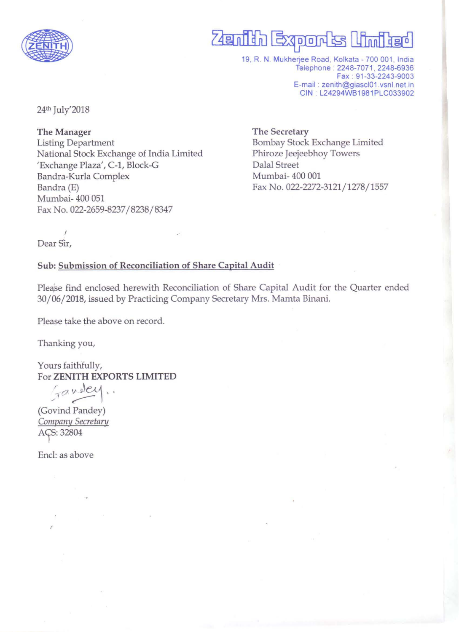

# **Zenith Exports United**

19, R. N. Mukherjee Road, Kolkata - 700 001, India Telephone : 2248-7071, 2248-6936 Fax : 91-33-2243-9003 E-mail : zenith@giascI01.vsnl.net.in GIN : L24294WB1981PLG033902

24th July'2018

The Manager Listing Department National Stock Exchange of India Limited 'Exchange Plaza', C-1, B1ock-G Bandra-Kurla Complex Bandra (E) Mumbai- 400 051 Fax No. 022-2659-8237/8238/ 8347

The Secretary Bombay Stock Exchange Limited Phiroze Jeejeebhoy Towers Dalal Street Mumbai- 400 001 Fax No. 022-2272-3121/1278/1557

 $\mathbf{r}$ Dear Sir,

## Sub: Submission of Reconciliation of Share Capital Audit

Plea'se find enclosed herewith Reconciliation of Share Capital Audit for the Quarter ended 30/06/2018, issued by Practicing Company Secretary Mrs. Mamta Binani.

Please take the above on record.

Thanking you,

Yours faithfully, For ZENITH EXPORTS LIMITED

 $470$  well.

(Govind Pandey) Company Secretary AÇS: 32804

Encl: as above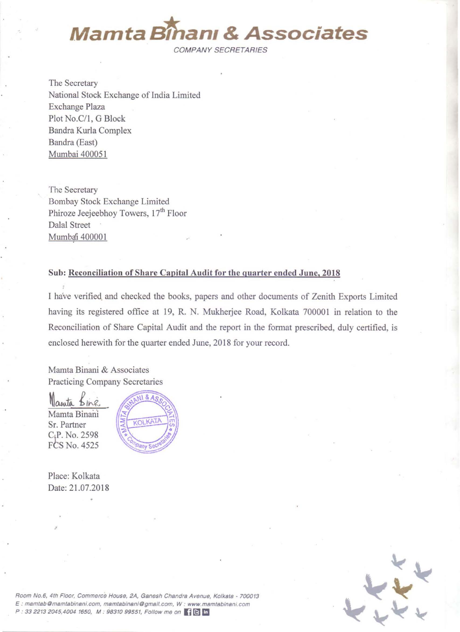

COMPANY SECRETARIES

The Secretary National Stock Exchange of India Limited Exchange Plaza Plot No.C/1, G Block Bandra Kurla Complex Bandra (East) Mumbai 400051

The Secretary Bombay Stock Exchange Limited Phiroze Jeejeebhoy Towers, 17<sup>th</sup> Floor Dalal Street Mumbai 400001

#### Sub: Reconciliation of Share Capital Audit for the quarter ended June, 2018

I have verified. and checked the books, papers and other documents of Zenith Exports Limited having its registered office at 19, R. N. Mukherjee Road, Kolkata 700001 in relation to the Reconciliation of Share Capital Audit and the report in the format prescribed, duly certified, is enclosed herewith for the quarter ended June, 2018 for your record.

Mamta Binani & Associates Practicing Company Secretaries

Manuta Bine Mamta Binani Sr. Partner C,P. No. 2598 FCS No. 4525



Place: Kolkata Date: 21.07.2018



Room No.6, 4th Floor, Commerce House, 2A, Ganesh Chandra Avenue, Kolkata - 700013 E: **mamtab@msmtsbinsni.com. mamtabinaniOgmaif.com. W; www.msmtabinani.com**   $P: 3322132045,40041650, M: 9831099551, Follow me on 10 m.$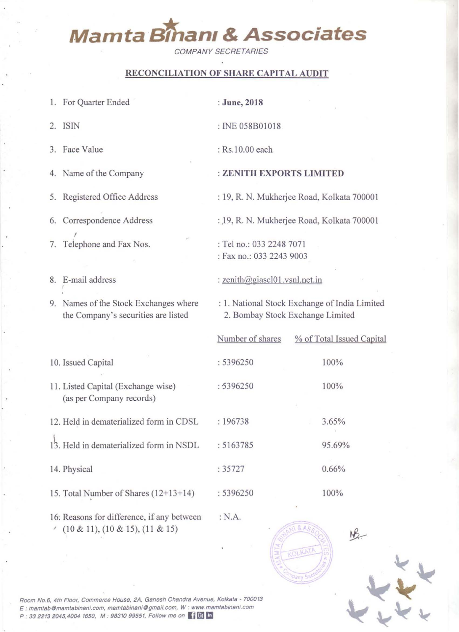# **Mamta Eilhanl & Associates**

COMPANY SECRETARIES

# RECONCILIATION OF SHARE CAPITAL AUDIT

I. For Quarter Ended

2. ISIN

3. Face Value

4. Name of the Company

5. Registered Office Address

6. Correspondence Address ,

7. Telephone and Fax Nos.

8. E-mail address

9. Names of the Stock Exchanges where the Company's securities are listed

10. Issued Capital

- 11. Listed Capital (Exchange wise) (as per Company records)
- 12. Held in dematerialized form in CDSL
- 13. Held in dematerialized form in NSDL
- 14. Physical

15. Total Number of Shares (12+13+14)

16: Reasons for difference, if any between  $(10 \& 11), (10 \& 15), (11 \& 15)$ 

: June, 2018

: INE 058BOlO18

: Rs.l 0.00 each

## : ZENITH EXPORTS LIMITED

: 19, R. N. Mukherjee Road, Kolkata 700001

: .19, R. N. Mukherjee Road, Kolkata 700001

: Tel no.: 033 2248 7071 : Fax no.: 033 2243 9003

: zenith@giasclOl.vsnl.net.in

:N.A.

: 1. National Stock Exchange of India Limited 2. Bombay Stock Exchange Limited

|           | Number of shares % of Total Issued Capital |  |  |
|-----------|--------------------------------------------|--|--|
| : 5396250 | 100%                                       |  |  |
| : 5396250 | 100%                                       |  |  |
|           |                                            |  |  |
| : 196738  | 3.65%                                      |  |  |
| : 5163785 | 95.69%                                     |  |  |
| : 35727   | 0.66%                                      |  |  |
| : 5396250 | 100%                                       |  |  |
|           | $\sim$                                     |  |  |



 $\mathbf{L}$ 

Room No.6, 4th Floor, Commerce House, 2A, Ganesh Chandra Avenue, Kolkata - 700013 E : **msmtsbOmamtsbinsni.com, msmtabinsni@gmsiI.com, W : www.mamtsbinsni.com**  P: 33 2213 2045,4004 1650, M: 98310 99551, Follow me on **FE**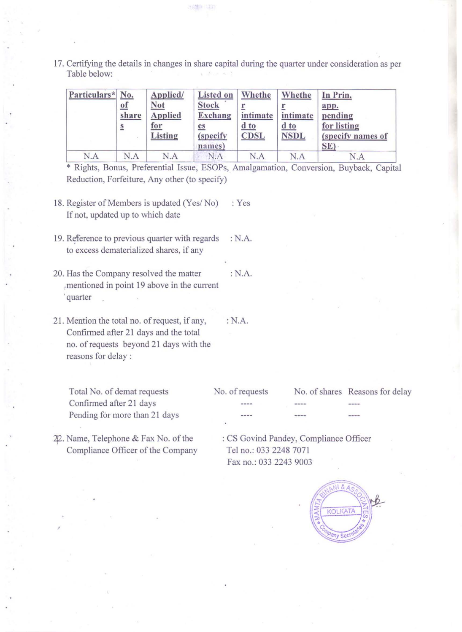17. Certifying the details in changes in share capital during the quarter under consideration as per Table below:

| Particulars* No. | $of$<br>share<br>$\underline{\underline{\mathbf{s}}}$ | Applied/<br><b>Not</b><br><b>Applied</b><br>for<br>Listing | <b>Listed on</b><br><b>Stock</b><br><b>Exchang</b><br><u>es</u><br>(specify)<br>names) | Whethe<br>intimate<br>$d$ to<br><b>CDSL</b> | Whethe<br>intimate<br>$\frac{d}{d}$ to<br><b>NSDL</b> | In Prin.<br>app.<br>pending<br>for listing<br>(specify names of<br>SE) |
|------------------|-------------------------------------------------------|------------------------------------------------------------|----------------------------------------------------------------------------------------|---------------------------------------------|-------------------------------------------------------|------------------------------------------------------------------------|
| N.A              | N.A                                                   | N.A                                                        | N.A                                                                                    | N.A                                         | N.A                                                   | N.A                                                                    |

\* Rights, Bonus, Preferential Issue, ESOPs, Amalgamation, Conversion, Buyback, Capital Reduction, Forfeiture, Any other (to specify)

- 18. Register of Members is updated (Yes/No) : Yes If not, updated up to which date
- 19. Reference to previous quarter with regards : N.A. to excess dematerialized shares, if any
- 20. Has the Company resolved the matter : N.A. ,mentioned in point 19 above in the current , quarter
- 21. Mention the total no. of request, if any, Confirmed after 21 days and the total no. of requests beyond 21 days with the reasons for delay:

Total No. of demat requests Confirmed after 21 days Pending for more than 21 days

42. Name, Telephone & Fax No. of the Compliance Officer of the Company

No. of requests No. of shares Reasons for delay

 $---$ 

: CS Govind Pandey, Compliance Officer Tel no.: 033 2248 7071 Fax no.: 033 2243 9003



:N.A.